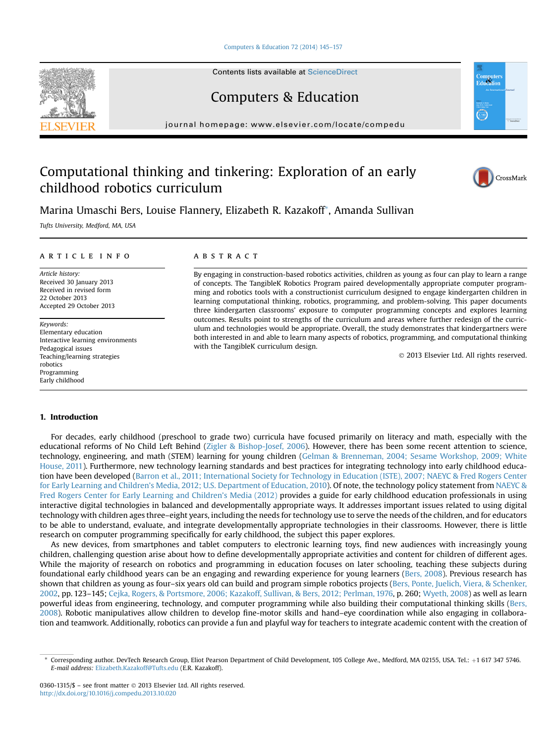[Computers & Education 72 \(2014\) 145](http://dx.doi.org/10.1016/j.compedu.2013.10.020)–157

Contents lists available at [ScienceDirect](www.sciencedirect.com/science/journal/03601315)

# Computers & Education

journal homepage: [www.elsevier.com/locate/compedu](http://www.elsevier.com/locate/compedu)

## Computational thinking and tinkering: Exploration of an early childhood robotics curriculum

Marina Umaschi Bers, Louise Flannery, Elizabeth R. Kazakoff\*, Amanda Sullivan

Tufts University, Medford, MA, USA

## article info

Article history: Received 30 January 2013 Received in revised form 22 October 2013 Accepted 29 October 2013

Keywords: Elementary education Interactive learning environments Pedagogical issues Teaching/learning strategies robotics Programming Early childhood

## **ABSTRACT**

By engaging in construction-based robotics activities, children as young as four can play to learn a range of concepts. The TangibleK Robotics Program paired developmentally appropriate computer programming and robotics tools with a constructionist curriculum designed to engage kindergarten children in learning computational thinking, robotics, programming, and problem-solving. This paper documents three kindergarten classrooms' exposure to computer programming concepts and explores learning outcomes. Results point to strengths of the curriculum and areas where further redesign of the curriculum and technologies would be appropriate. Overall, the study demonstrates that kindergartners were both interested in and able to learn many aspects of robotics, programming, and computational thinking with the TangibleK curriculum design.

2013 Elsevier Ltd. All rights reserved.

## 1. Introduction

For decades, early childhood (preschool to grade two) curricula have focused primarily on literacy and math, especially with the educational reforms of No Child Left Behind ([Zigler & Bishop-Josef, 2006\)](#page-12-0). However, there has been some recent attention to science, technology, engineering, and math (STEM) learning for young children ([Gelman & Brenneman, 2004; Sesame Workshop, 2009; White](#page-12-0) [House, 2011](#page-12-0)). Furthermore, new technology learning standards and best practices for integrating technology into early childhood education have been developed ([Barron et al., 2011; International Society for Technology in Education \(ISTE\), 2007; NAEYC & Fred Rogers Center](#page-12-0) for Early Learning and Children'[s Media, 2012; U.S. Department of Education, 2010\)](#page-12-0). Of note, the technology policy statement from [NAEYC &](#page-12-0) [Fred Rogers Center for Early Learning and Children](#page-12-0)'s Media (2012) provides a guide for early childhood education professionals in using interactive digital technologies in balanced and developmentally appropriate ways. It addresses important issues related to using digital technology with children ages three–eight years, including the needs for technology use to serve the needs of the children, and for educators to be able to understand, evaluate, and integrate developmentally appropriate technologies in their classrooms. However, there is little research on computer programming specifically for early childhood, the subject this paper explores.

As new devices, from smartphones and tablet computers to electronic learning toys, find new audiences with increasingly young children, challenging question arise about how to define developmentally appropriate activities and content for children of different ages. While the majority of research on robotics and programming in education focuses on later schooling, teaching these subjects during foundational early childhood years can be an engaging and rewarding experience for young learners [\(Bers, 2008](#page-12-0)). Previous research has shown that children as young as four–six years old can build and program simple robotics projects [\(Bers, Ponte, Juelich, Viera, & Schenker,](#page-12-0) [2002,](#page-12-0) pp. 123–145; [Cejka, Rogers, & Portsmore, 2006; Kazakoff, Sullivan, & Bers, 2012; Perlman, 1976,](#page-12-0) p. 260; [Wyeth, 2008](#page-12-0)) as well as learn powerful ideas from engineering, technology, and computer programming while also building their computational thinking skills [\(Bers,](#page-12-0) [2008\)](#page-12-0). Robotic manipulatives allow children to develop fine-motor skills and hand–eye coordination while also engaging in collaboration and teamwork. Additionally, robotics can provide a fun and playful way for teachers to integrate academic content with the creation of







Corresponding author. DevTech Research Group, Eliot Pearson Department of Child Development, 105 College Ave., Medford, MA 02155, USA. Tel.: +1 617 347 5746. E-mail address: [Elizabeth.Kazakoff@Tufts.edu](mailto:Elizabeth.Kazakoff@Tufts.edu) (E.R. Kazakoff).

<sup>0360-1315/\$ -</sup> see front matter  $\odot$  2013 Elsevier Ltd. All rights reserved. <http://dx.doi.org/10.1016/j.compedu.2013.10.020>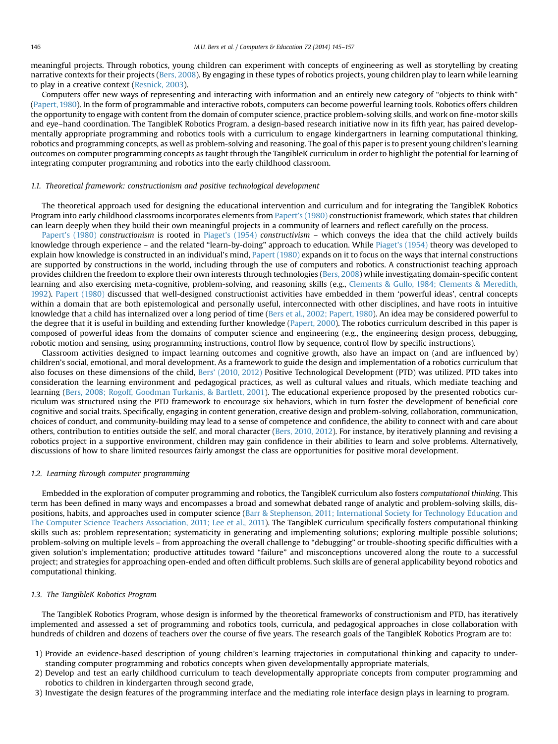meaningful projects. Through robotics, young children can experiment with concepts of engineering as well as storytelling by creating narrative contexts for their projects [\(Bers, 2008](#page-12-0)). By engaging in these types of robotics projects, young children play to learn while learning to play in a creative context ([Resnick, 2003](#page-12-0)).

Computers offer new ways of representing and interacting with information and an entirely new category of "objects to think with" ([Papert, 1980\)](#page-12-0). In the form of programmable and interactive robots, computers can become powerful learning tools. Robotics offers children the opportunity to engage with content from the domain of computer science, practice problem-solving skills, and work on fine-motor skills and eye–hand coordination. The TangibleK Robotics Program, a design-based research initiative now in its fifth year, has paired developmentally appropriate programming and robotics tools with a curriculum to engage kindergartners in learning computational thinking, robotics and programming concepts, as well as problem-solving and reasoning. The goal of this paper is to present young children's learning outcomes on computer programming concepts as taught through the TangibleK curriculum in order to highlight the potential for learning of integrating computer programming and robotics into the early childhood classroom.

#### 1.1. Theoretical framework: constructionism and positive technological development

The theoretical approach used for designing the educational intervention and curriculum and for integrating the TangibleK Robotics Program into early childhood classrooms incorporates elements from Papert'[s \(1980\)](#page-12-0) constructionist framework, which states that children can learn deeply when they build their own meaningful projects in a community of learners and reflect carefully on the process.

Papert'[s \(1980\)](#page-12-0) constructionism is rooted in Piaget'[s \(1954\)](#page-12-0) constructivism – which conveys the idea that the child actively builds knowledge through experience – and the related "learn-by-doing" approach to education. While Piaget'[s \(1954\)](#page-12-0) theory was developed to explain how knowledge is constructed in an individual's mind, [Papert \(1980\)](#page-12-0) expands on it to focus on the ways that internal constructions are supported by constructions in the world, including through the use of computers and robotics. A constructionist teaching approach provides children the freedom to explore their own interests through technologies ([Bers, 2008\)](#page-12-0) while investigating domain-specific content learning and also exercising meta-cognitive, problem-solving, and reasoning skills (e.g., [Clements & Gullo, 1984; Clements & Meredith,](#page-12-0) [1992](#page-12-0)). [Papert \(1980\)](#page-12-0) discussed that well-designed constructionist activities have embedded in them 'powerful ideas', central concepts within a domain that are both epistemological and personally useful, interconnected with other disciplines, and have roots in intuitive knowledge that a child has internalized over a long period of time ([Bers et al., 2002; Papert, 1980\)](#page-12-0). An idea may be considered powerful to the degree that it is useful in building and extending further knowledge ([Papert, 2000\)](#page-12-0). The robotics curriculum described in this paper is composed of powerful ideas from the domains of computer science and engineering (e.g., the engineering design process, debugging, robotic motion and sensing, using programming instructions, control flow by sequence, control flow by specific instructions).

Classroom activities designed to impact learning outcomes and cognitive growth, also have an impact on (and are influenced by) children's social, emotional, and moral development. As a framework to guide the design and implementation of a robotics curriculum that also focuses on these dimensions of the child, Bers' [\(2010, 2012\)](#page-12-0) Positive Technological Development (PTD) was utilized. PTD takes into consideration the learning environment and pedagogical practices, as well as cultural values and rituals, which mediate teaching and learning [\(Bers, 2008; Rogoff, Goodman Turkanis, & Bartlett, 2001\)](#page-12-0). The educational experience proposed by the presented robotics curriculum was structured using the PTD framework to encourage six behaviors, which in turn foster the development of beneficial core cognitive and social traits. Specifically, engaging in content generation, creative design and problem-solving, collaboration, communication, choices of conduct, and community-building may lead to a sense of competence and confidence, the ability to connect with and care about others, contribution to entities outside the self, and moral character ([Bers, 2010, 2012](#page-12-0)). For instance, by iteratively planning and revising a robotics project in a supportive environment, children may gain confidence in their abilities to learn and solve problems. Alternatively, discussions of how to share limited resources fairly amongst the class are opportunities for positive moral development.

#### 1.2. Learning through computer programming

Embedded in the exploration of computer programming and robotics, the TangibleK curriculum also fosters computational thinking. This term has been defined in many ways and encompasses a broad and somewhat debated range of analytic and problem-solving skills, dispositions, habits, and approaches used in computer science [\(Barr & Stephenson, 2011; International Society for Technology Education and](#page-12-0) [The Computer Science Teachers Association, 2011; Lee et al., 2011](#page-12-0)). The TangibleK curriculum specifically fosters computational thinking skills such as: problem representation; systematicity in generating and implementing solutions; exploring multiple possible solutions; problem-solving on multiple levels – from approaching the overall challenge to "debugging" or trouble-shooting specific difficulties with a given solution's implementation; productive attitudes toward "failure" and misconceptions uncovered along the route to a successful project; and strategies for approaching open-ended and often difficult problems. Such skills are of general applicability beyond robotics and computational thinking.

## 1.3. The TangibleK Robotics Program

The TangibleK Robotics Program, whose design is informed by the theoretical frameworks of constructionism and PTD, has iteratively implemented and assessed a set of programming and robotics tools, curricula, and pedagogical approaches in close collaboration with hundreds of children and dozens of teachers over the course of five years. The research goals of the TangibleK Robotics Program are to:

- 1) Provide an evidence-based description of young children's learning trajectories in computational thinking and capacity to understanding computer programming and robotics concepts when given developmentally appropriate materials,
- 2) Develop and test an early childhood curriculum to teach developmentally appropriate concepts from computer programming and robotics to children in kindergarten through second grade,
- 3) Investigate the design features of the programming interface and the mediating role interface design plays in learning to program.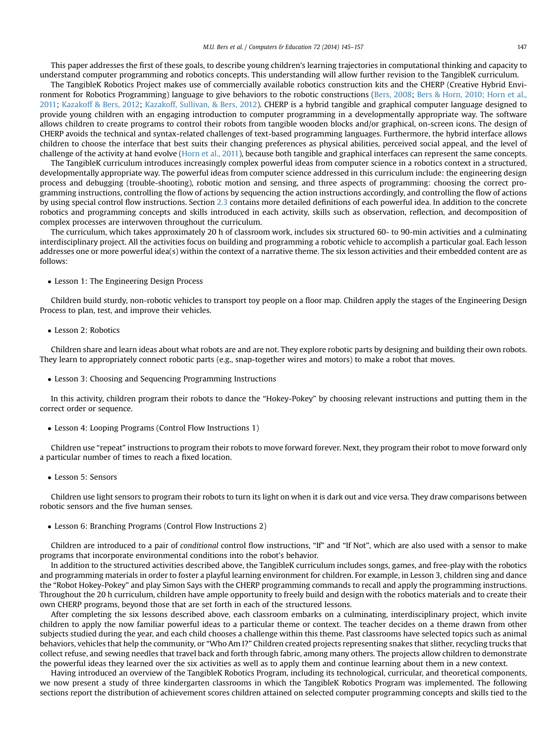This paper addresses the first of these goals, to describe young children's learning trajectories in computational thinking and capacity to understand computer programming and robotics concepts. This understanding will allow further revision to the TangibleK curriculum.

The TangibleK Robotics Project makes use of commercially available robotics construction kits and the CHERP (Creative Hybrid Environment for Robotics Programming) language to give behaviors to the robotic constructions ([Bers, 2008;](#page-12-0) [Bers & Horn, 2010; Horn et al.,](#page-12-0) [2011](#page-12-0); [Kazakoff & Bers, 2012](#page-12-0); [Kazakoff, Sullivan, & Bers, 2012\)](#page-12-0). CHERP is a hybrid tangible and graphical computer language designed to provide young children with an engaging introduction to computer programming in a developmentally appropriate way. The software allows children to create programs to control their robots from tangible wooden blocks and/or graphical, on-screen icons. The design of CHERP avoids the technical and syntax-related challenges of text-based programming languages. Furthermore, the hybrid interface allows children to choose the interface that best suits their changing preferences as physical abilities, perceived social appeal, and the level of challenge of the activity at hand evolve [\(Horn et al., 2011](#page-12-0)), because both tangible and graphical interfaces can represent the same concepts.

The TangibleK curriculum introduces increasingly complex powerful ideas from computer science in a robotics context in a structured, developmentally appropriate way. The powerful ideas from computer science addressed in this curriculum include: the engineering design process and debugging (trouble-shooting), robotic motion and sensing, and three aspects of programming: choosing the correct programming instructions, controlling the flow of actions by sequencing the action instructions accordingly, and controlling the flow of actions by using special control flow instructions. Section [2.3](#page-4-0) contains more detailed definitions of each powerful idea. In addition to the concrete robotics and programming concepts and skills introduced in each activity, skills such as observation, reflection, and decomposition of complex processes are interwoven throughout the curriculum.

The curriculum, which takes approximately 20 h of classroom work, includes six structured 60- to 90-min activities and a culminating interdisciplinary project. All the activities focus on building and programming a robotic vehicle to accomplish a particular goal. Each lesson addresses one or more powerful idea(s) within the context of a narrative theme. The six lesson activities and their embedded content are as follows:

- Lesson 1: The Engineering Design Process

Children build sturdy, non-robotic vehicles to transport toy people on a floor map. Children apply the stages of the Engineering Design Process to plan, test, and improve their vehicles.

• Lesson 2: Robotics

Children share and learn ideas about what robots are and are not. They explore robotic parts by designing and building their own robots. They learn to appropriately connect robotic parts (e.g., snap-together wires and motors) to make a robot that moves.

- Lesson 3: Choosing and Sequencing Programming Instructions

In this activity, children program their robots to dance the "Hokey-Pokey" by choosing relevant instructions and putting them in the correct order or sequence.

- Lesson 4: Looping Programs (Control Flow Instructions 1)

Children use "repeat" instructions to program their robots to move forward forever. Next, they program their robot to move forward only a particular number of times to reach a fixed location.

- Lesson 5: Sensors

Children use light sensors to program their robots to turn its light on when it is dark out and vice versa. They draw comparisons between robotic sensors and the five human senses.

- Lesson 6: Branching Programs (Control Flow Instructions 2)

Children are introduced to a pair of conditional control flow instructions, "If" and "If Not", which are also used with a sensor to make programs that incorporate environmental conditions into the robot's behavior.

In addition to the structured activities described above, the TangibleK curriculum includes songs, games, and free-play with the robotics and programming materials in order to foster a playful learning environment for children. For example, in Lesson 3, children sing and dance the "Robot Hokey-Pokey" and play Simon Says with the CHERP programming commands to recall and apply the programming instructions. Throughout the 20 h curriculum, children have ample opportunity to freely build and design with the robotics materials and to create their own CHERP programs, beyond those that are set forth in each of the structured lessons.

After completing the six lessons described above, each classroom embarks on a culminating, interdisciplinary project, which invite children to apply the now familiar powerful ideas to a particular theme or context. The teacher decides on a theme drawn from other subjects studied during the year, and each child chooses a challenge within this theme. Past classrooms have selected topics such as animal behaviors, vehicles that help the community, or "Who Am I?" Children created projects representing snakes that slither, recycling trucks that collect refuse, and sewing needles that travel back and forth through fabric, among many others. The projects allow children to demonstrate the powerful ideas they learned over the six activities as well as to apply them and continue learning about them in a new context.

Having introduced an overview of the TangibleK Robotics Program, including its technological, curricular, and theoretical components, we now present a study of three kindergarten classrooms in which the TangibleK Robotics Program was implemented. The following sections report the distribution of achievement scores children attained on selected computer programming concepts and skills tied to the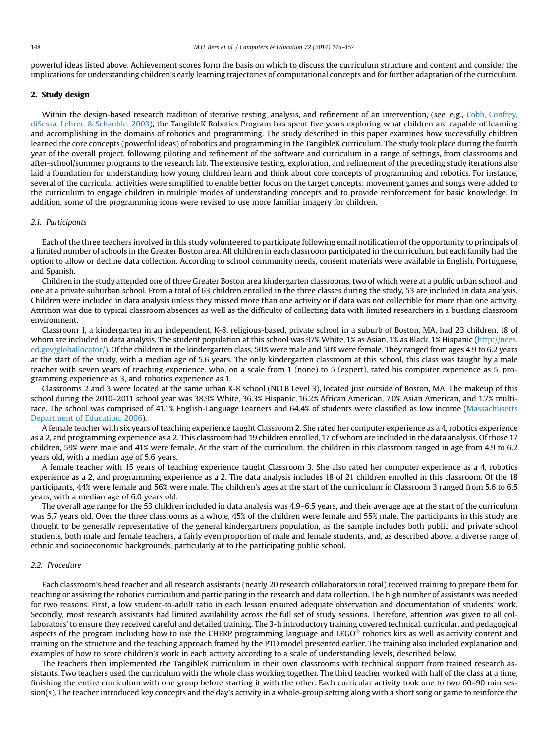powerful ideas listed above. Achievement scores form the basis on which to discuss the curriculum structure and content and consider the implications for understanding children's early learning trajectories of computational concepts and for further adaptation of the curriculum.

## 2. Study design

Within the design-based research tradition of iterative testing, analysis, and refinement of an intervention, (see, e.g., [Cobb, Confrey,](#page-12-0) [diSessa, Lehrer, & Schauble, 2003\)](#page-12-0), the TangibleK Robotics Program has spent five years exploring what children are capable of learning and accomplishing in the domains of robotics and programming. The study described in this paper examines how successfully children learned the core concepts (powerful ideas) of robotics and programming in the TangibleK curriculum. The study took place during the fourth year of the overall project, following piloting and refinement of the software and curriculum in a range of settings, from classrooms and after-school/summer programs to the research lab. The extensive testing, exploration, and refinement of the preceding study iterations also laid a foundation for understanding how young children learn and think about core concepts of programming and robotics. For instance, several of the curricular activities were simplified to enable better focus on the target concepts; movement games and songs were added to the curriculum to engage children in multiple modes of understanding concepts and to provide reinforcement for basic knowledge. In addition, some of the programming icons were revised to use more familiar imagery for children.

#### 2.1. Participants

Each of the three teachers involved in this study volunteered to participate following email notification of the opportunity to principals of a limited number of schools in the Greater Boston area. All children in each classroom participated in the curriculum, but each family had the option to allow or decline data collection. According to school community needs, consent materials were available in English, Portuguese, and Spanish.

Children in the study attended one of three Greater Boston area kindergarten classrooms, two of which were at a public urban school, and one at a private suburban school. From a total of 63 children enrolled in the three classes during the study, 53 are included in data analysis. Children were included in data analysis unless they missed more than one activity or if data was not collectible for more than one activity. Attrition was due to typical classroom absences as well as the difficulty of collecting data with limited researchers in a bustling classroom environment.

Classroom 1, a kindergarten in an independent, K-8, religious-based, private school in a suburb of Boston, MA, had 23 children, 18 of whom are included in data analysis. The student population at this school was 97% White, 1% as Asian, 1% as Black, 1% Hispanic ([http://nces.](http://nces.ed.gov/globallocator/) [ed.gov/globallocator/](http://nces.ed.gov/globallocator/)). Of the children in the kindergarten class, 50% were male and 50% were female. They ranged from ages 4.9 to 6.2 years at the start of the study, with a median age of 5.6 years. The only kindergarten classroom at this school, this class was taught by a male teacher with seven years of teaching experience, who, on a scale from 1 (none) to 5 (expert), rated his computer experience as 5, programming experience as 3, and robotics experience as 1.

Classrooms 2 and 3 were located at the same urban K-8 school (NCLB Level 3), located just outside of Boston, MA. The makeup of this school during the 2010–2011 school year was 38.9% White, 36.3% Hispanic, 16.2% African American, 7.0% Asian American, and 1.7% multirace. The school was comprised of 41.1% English-Language Learners and 64.4% of students were classified as low income [\(Massachusetts](#page-12-0) [Department of Education, 2006\)](#page-12-0).

A female teacher with six years of teaching experience taught Classroom 2. She rated her computer experience as a 4, robotics experience as a 2, and programming experience as a 2. This classroom had 19 children enrolled, 17 of whom are included in the data analysis. Of those 17 children, 59% were male and 41% were female. At the start of the curriculum, the children in this classroom ranged in age from 4.9 to 6.2 years old, with a median age of 5.6 years.

A female teacher with 15 years of teaching experience taught Classroom 3. She also rated her computer experience as a 4, robotics experience as a 2, and programming experience as a 2. The data analysis includes 18 of 21 children enrolled in this classroom. Of the 18 participants, 44% were female and 56% were male. The children's ages at the start of the curriculum in Classroom 3 ranged from 5.6 to 6.5 years, with a median age of 6.0 years old.

The overall age range for the 53 children included in data analysis was 4.9–6.5 years, and their average age at the start of the curriculum was 5.7 years old. Over the three classrooms as a whole, 45% of the children were female and 55% male. The participants in this study are thought to be generally representative of the general kindergartners population, as the sample includes both public and private school students, both male and female teachers, a fairly even proportion of male and female students, and, as described above, a diverse range of ethnic and socioeconomic backgrounds, particularly at to the participating public school.

#### 2.2. Procedure

Each classroom's head teacher and all research assistants (nearly 20 research collaborators in total) received training to prepare them for teaching or assisting the robotics curriculum and participating in the research and data collection. The high number of assistants was needed for two reasons. First, a low student-to-adult ratio in each lesson ensured adequate observation and documentation of students' work. Secondly, most research assistants had limited availability across the full set of study sessions. Therefore, attention was given to all collaborators' to ensure they received careful and detailed training. The 3-h introductory training covered technical, curricular, and pedagogical aspects of the program including how to use the CHERP programming language and LEGO® robotics kits as well as activity content and training on the structure and the teaching approach framed by the PTD model presented earlier. The training also included explanation and examples of how to score children's work in each activity according to a scale of understanding levels, described below.

The teachers then implemented the TangibleK curriculum in their own classrooms with technical support from trained research assistants. Two teachers used the curriculum with the whole class working together. The third teacher worked with half of the class at a time, finishing the entire curriculum with one group before starting it with the other. Each curricular activity took one to two 60–90 min session(s). The teacher introduced key concepts and the day's activity in a whole-group setting along with a short song or game to reinforce the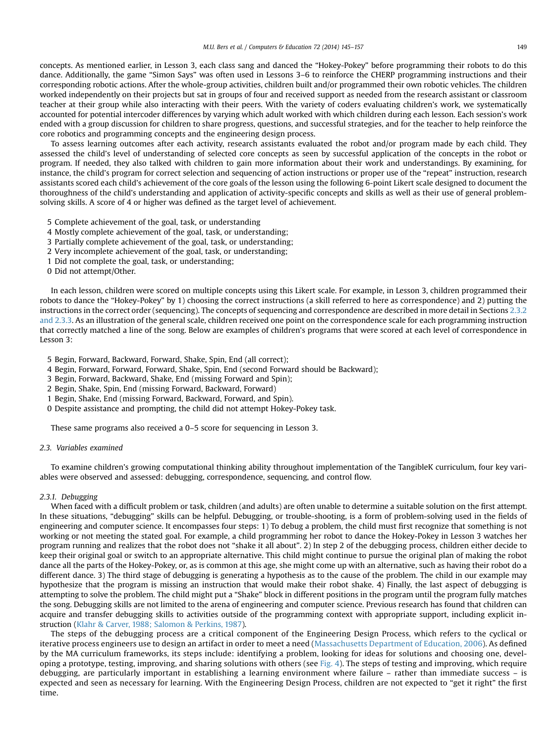<span id="page-4-0"></span>concepts. As mentioned earlier, in Lesson 3, each class sang and danced the "Hokey-Pokey" before programming their robots to do this dance. Additionally, the game "Simon Says" was often used in Lessons 3–6 to reinforce the CHERP programming instructions and their corresponding robotic actions. After the whole-group activities, children built and/or programmed their own robotic vehicles. The children worked independently on their projects but sat in groups of four and received support as needed from the research assistant or classroom teacher at their group while also interacting with their peers. With the variety of coders evaluating children's work, we systematically accounted for potential intercoder differences by varying which adult worked with which children during each lesson. Each session's work ended with a group discussion for children to share progress, questions, and successful strategies, and for the teacher to help reinforce the core robotics and programming concepts and the engineering design process.

To assess learning outcomes after each activity, research assistants evaluated the robot and/or program made by each child. They assessed the child's level of understanding of selected core concepts as seen by successful application of the concepts in the robot or program. If needed, they also talked with children to gain more information about their work and understandings. By examining, for instance, the child's program for correct selection and sequencing of action instructions or proper use of the "repeat" instruction, research assistants scored each child's achievement of the core goals of the lesson using the following 6-point Likert scale designed to document the thoroughness of the child's understanding and application of activity-specific concepts and skills as well as their use of general problemsolving skills. A score of 4 or higher was defined as the target level of achievement.

- 5 Complete achievement of the goal, task, or understanding
- 4 Mostly complete achievement of the goal, task, or understanding;
- 3 Partially complete achievement of the goal, task, or understanding;
- 2 Very incomplete achievement of the goal, task, or understanding;
- 1 Did not complete the goal, task, or understanding;
- 0 Did not attempt/Other.

In each lesson, children were scored on multiple concepts using this Likert scale. For example, in Lesson 3, children programmed their robots to dance the "Hokey-Pokey" by 1) choosing the correct instructions (a skill referred to here as correspondence) and 2) putting the instructions in the correct order (sequencing). The concepts of sequencing and correspondence are described in more detail in Sections [2.3.2](#page-5-0) [and 2.3.3.](#page-5-0) As an illustration of the general scale, children received one point on the correspondence scale for each programming instruction that correctly matched a line of the song. Below are examples of children's programs that were scored at each level of correspondence in Lesson 3:

- 5 Begin, Forward, Backward, Forward, Shake, Spin, End (all correct);
- 4 Begin, Forward, Forward, Forward, Shake, Spin, End (second Forward should be Backward);
- 3 Begin, Forward, Backward, Shake, End (missing Forward and Spin);
- 2 Begin, Shake, Spin, End (missing Forward, Backward, Forward)
- 1 Begin, Shake, End (missing Forward, Backward, Forward, and Spin).
- 0 Despite assistance and prompting, the child did not attempt Hokey-Pokey task.

These same programs also received a 0–5 score for sequencing in Lesson 3.

## 2.3. Variables examined

To examine children's growing computational thinking ability throughout implementation of the TangibleK curriculum, four key variables were observed and assessed: debugging, correspondence, sequencing, and control flow.

#### 2.3.1. Debugging

When faced with a difficult problem or task, children (and adults) are often unable to determine a suitable solution on the first attempt. In these situations, "debugging" skills can be helpful. Debugging, or trouble-shooting, is a form of problem-solving used in the fields of engineering and computer science. It encompasses four steps: 1) To debug a problem, the child must first recognize that something is not working or not meeting the stated goal. For example, a child programming her robot to dance the Hokey-Pokey in Lesson 3 watches her program running and realizes that the robot does not "shake it all about". 2) In step 2 of the debugging process, children either decide to keep their original goal or switch to an appropriate alternative. This child might continue to pursue the original plan of making the robot dance all the parts of the Hokey-Pokey, or, as is common at this age, she might come up with an alternative, such as having their robot do a different dance. 3) The third stage of debugging is generating a hypothesis as to the cause of the problem. The child in our example may hypothesize that the program is missing an instruction that would make their robot shake. 4) Finally, the last aspect of debugging is attempting to solve the problem. The child might put a "Shake" block in different positions in the program until the program fully matches the song. Debugging skills are not limited to the arena of engineering and computer science. Previous research has found that children can acquire and transfer debugging skills to activities outside of the programming context with appropriate support, including explicit instruction ([Klahr & Carver, 1988; Salomon & Perkins, 1987](#page-12-0)).

The steps of the debugging process are a critical component of the Engineering Design Process, which refers to the cyclical or iterative process engineers use to design an artifact in order to meet a need ([Massachusetts Department of Education, 2006](#page-12-0)). As defined by the MA curriculum frameworks, its steps include: identifying a problem, looking for ideas for solutions and choosing one, developing a prototype, testing, improving, and sharing solutions with others (see [Fig. 4](#page-10-0)). The steps of testing and improving, which require debugging, are particularly important in establishing a learning environment where failure – rather than immediate success – is expected and seen as necessary for learning. With the Engineering Design Process, children are not expected to "get it right" the first time.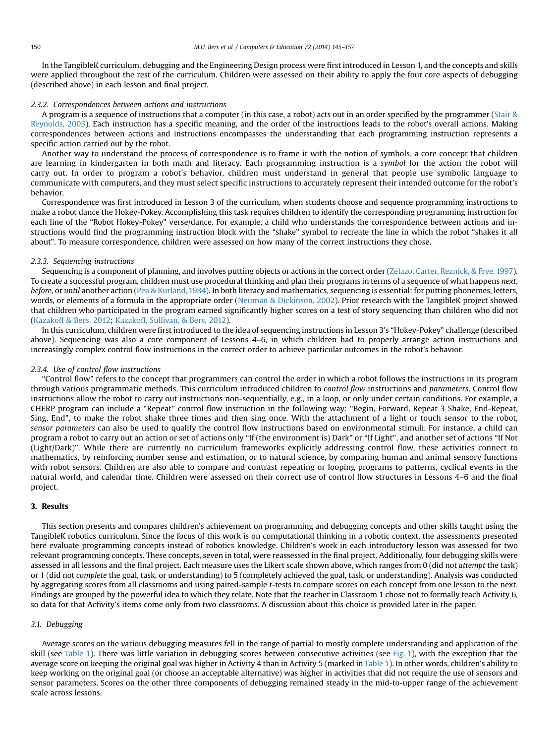<span id="page-5-0"></span>In the TangibleK curriculum, debugging and the Engineering Design process were first introduced in Lesson 1, and the concepts and skills were applied throughout the rest of the curriculum. Children were assessed on their ability to apply the four core aspects of debugging (described above) in each lesson and final project.

## 2.3.2. Correspondences between actions and instructions

A program is a sequence of instructions that a computer (in this case, a robot) acts out in an order specified by the programmer ([Stair &](#page-12-0) [Reynolds, 2003](#page-12-0)). Each instruction has a specific meaning, and the order of the instructions leads to the robot's overall actions. Making correspondences between actions and instructions encompasses the understanding that each programming instruction represents a specific action carried out by the robot.

Another way to understand the process of correspondence is to frame it with the notion of symbols, a core concept that children are learning in kindergarten in both math and literacy. Each programming instruction is a symbol for the action the robot will carry out. In order to program a robot's behavior, children must understand in general that people use symbolic language to communicate with computers, and they must select specific instructions to accurately represent their intended outcome for the robot's behavior.

Correspondence was first introduced in Lesson 3 of the curriculum, when students choose and sequence programming instructions to make a robot dance the Hokey-Pokey. Accomplishing this task requires children to identify the corresponding programming instruction for each line of the "Robot Hokey-Pokey" verse/dance. For example, a child who understands the correspondence between actions and instructions would find the programming instruction block with the "shake" symbol to recreate the line in which the robot "shakes it all about". To measure correspondence, children were assessed on how many of the correct instructions they chose.

#### 2.3.3. Sequencing instructions

Sequencing is a component of planning, and involves putting objects or actions in the correct order [\(Zelazo, Carter, Reznick, & Frye, 1997\)](#page-12-0). To create a successful program, children must use procedural thinking and plan their programs in terms of a sequence of what happens next, before, or until another action [\(Pea & Kurland, 1984\)](#page-12-0). In both literacy and mathematics, sequencing is essential: for putting phonemes, letters, words, or elements of a formula in the appropriate order [\(Neuman & Dickinson, 2002\)](#page-12-0). Prior research with the TangibleK project showed that children who participated in the program earned significantly higher scores on a test of story sequencing than children who did not ([Kazakoff & Bers, 2012;](#page-12-0) [Kazakoff, Sullivan, & Bers, 2012](#page-12-0)).

In this curriculum, children were first introduced to the idea of sequencing instructions in Lesson 3's "Hokey-Pokey" challenge (described above). Sequencing was also a core component of Lessons 4–6, in which children had to properly arrange action instructions and increasingly complex control flow instructions in the correct order to achieve particular outcomes in the robot's behavior.

## 2.3.4. Use of control flow instructions

"Control flow" refers to the concept that programmers can control the order in which a robot follows the instructions in its program through various programmatic methods. This curriculum introduced children to control flow instructions and parameters. Control flow instructions allow the robot to carry out instructions non-sequentially, e.g., in a loop, or only under certain conditions. For example, a CHERP program can include a "Repeat" control flow instruction in the following way: "Begin, Forward, Repeat 3 Shake, End-Repeat, Sing, End", to make the robot shake three times and then sing once. With the attachment of a light or touch sensor to the robot, sensor parameters can also be used to qualify the control flow instructions based on environmental stimuli. For instance, a child can program a robot to carry out an action or set of actions only "If (the environment is) Dark" or "If Light", and another set of actions "If Not (Light/Dark)". While there are currently no curriculum frameworks explicitly addressing control flow, these activities connect to mathematics, by reinforcing number sense and estimation, or to natural science, by comparing human and animal sensory functions with robot sensors. Children are also able to compare and contrast repeating or looping programs to patterns, cyclical events in the natural world, and calendar time. Children were assessed on their correct use of control flow structures in Lessons 4–6 and the final project.

## 3. Results

This section presents and compares children's achievement on programming and debugging concepts and other skills taught using the TangibleK robotics curriculum. Since the focus of this work is on computational thinking in a robotic context, the assessments presented here evaluate programming concepts instead of robotics knowledge. Children's work in each introductory lesson was assessed for two relevant programming concepts. These concepts, seven in total, were reassessed in the final project. Additionally, four debugging skills were assessed in all lessons and the final project. Each measure uses the Likert scale shown above, which ranges from 0 (did not attempt the task) or 1 (did not complete the goal, task, or understanding) to 5 (completely achieved the goal, task, or understanding). Analysis was conducted by aggregating scores from all classrooms and using paired-sample t-tests to compare scores on each concept from one lesson to the next. Findings are grouped by the powerful idea to which they relate. Note that the teacher in Classroom 1 chose not to formally teach Activity 6, so data for that Activity's items come only from two classrooms. A discussion about this choice is provided later in the paper.

#### 3.1. Debugging

Average scores on the various debugging measures fell in the range of partial to mostly complete understanding and application of the skill (see [Table 1\)](#page-6-0). There was little variation in debugging scores between consecutive activities (see [Fig. 1\)](#page-6-0), with the exception that the average score on keeping the original goal was higher in Activity 4 than in Activity 5 (marked in [Table 1\)](#page-6-0). In other words, children's ability to keep working on the original goal (or choose an acceptable alternative) was higher in activities that did not require the use of sensors and sensor parameters. Scores on the other three components of debugging remained steady in the mid-to-upper range of the achievement scale across lessons.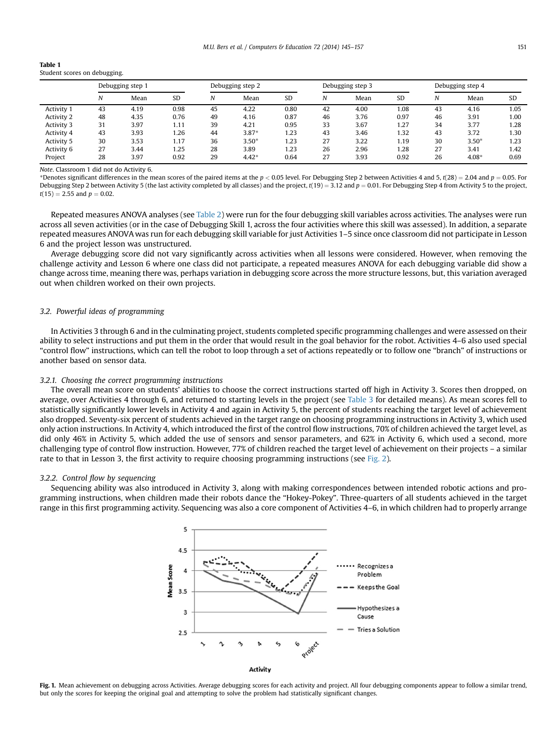<span id="page-6-0"></span>

| Table 1                      |  |
|------------------------------|--|
| Student scores on debugging. |  |

|                   |    | Debugging step 1 |      | Debugging step 2 |         |      | Debugging step 3 |      |           | Debugging step 4 |         |      |
|-------------------|----|------------------|------|------------------|---------|------|------------------|------|-----------|------------------|---------|------|
|                   | N  | Mean             | SD   |                  | Mean    | SD   |                  | Mean | <b>SD</b> | Ν                | Mean    | SD   |
| Activity 1        | 43 | 4.19             | 0.98 | 45               | 4.22    | 0.80 | 42               | 4.00 | 1.08      | 43               | 4.16    | 1.05 |
| Activity 2        | 48 | 4.35             | 0.76 | 49               | 4.16    | 0.87 | 46               | 3.76 | 0.97      | 46               | 3.91    | 1.00 |
| Activity 3        | 31 | 3.97             | 1.11 | 39               | 4.21    | 0.95 | 33               | 3.67 | 1.27      | 34               | 3.77    | 1.28 |
| Activity 4        | 43 | 3.93             | 1.26 | 44               | $3.87*$ | 1.23 | 43               | 3.46 | 1.32      | 43               | 3.72    | 1.30 |
| <b>Activity 5</b> | 30 | 3.53             | 1.17 | 36               | $3.50*$ | 1.23 | 27               | 3.22 | 1.19      | 30               | $3.50*$ | 1.23 |
| Activity 6        | 27 | 3.44             | 1.25 | 28               | 3.89    | 1.23 | 26               | 2.96 | 1.28      | 27               | 3.41    | 1.42 |
| Project           | 28 | 3.97             | 0.92 | 29               | $4.42*$ | 0.64 | 27               | 3.93 | 0.92      | 26               | $4.08*$ | 0.69 |

Note. Classroom 1 did not do Activity 6.

\*Denotes significant differences in the mean scores of the paired items at the  $p < 0.05$  level. For Debugging Step 2 between Activities 4 and 5, t(28) = 2.04 and  $p = 0.05$ . For Debugging Step 2 between Activity 5 (the last activity completed by all classes) and the project,  $t(19) = 3.12$  and  $p = 0.01$ . For Debugging Step 4 from Activity 5 to the project,  $t(15) = 2.55$  and  $p = 0.02$ .

Repeated measures ANOVA analyses (see [Table 2](#page-7-0)) were run for the four debugging skill variables across activities. The analyses were run across all seven activities (or in the case of Debugging Skill 1, across the four activities where this skill was assessed). In addition, a separate repeated measures ANOVA was run for each debugging skill variable for just Activities 1–5 since once classroom did not participate in Lesson 6 and the project lesson was unstructured.

Average debugging score did not vary significantly across activities when all lessons were considered. However, when removing the challenge activity and Lesson 6 where one class did not participate, a repeated measures ANOVA for each debugging variable did show a change across time, meaning there was, perhaps variation in debugging score across the more structure lessons, but, this variation averaged out when children worked on their own projects.

### 3.2. Powerful ideas of programming

In Activities 3 through 6 and in the culminating project, students completed specific programming challenges and were assessed on their ability to select instructions and put them in the order that would result in the goal behavior for the robot. Activities 4–6 also used special "control flow" instructions, which can tell the robot to loop through a set of actions repeatedly or to follow one "branch" of instructions or another based on sensor data.

#### 3.2.1. Choosing the correct programming instructions

The overall mean score on students' abilities to choose the correct instructions started off high in Activity 3. Scores then dropped, on average, over Activities 4 through 6, and returned to starting levels in the project (see [Table 3](#page-7-0) for detailed means). As mean scores fell to statistically significantly lower levels in Activity 4 and again in Activity 5, the percent of students reaching the target level of achievement also dropped. Seventy-six percent of students achieved in the target range on choosing programming instructions in Activity 3, which used only action instructions. In Activity 4, which introduced the first of the control flow instructions, 70% of children achieved the target level, as did only 46% in Activity 5, which added the use of sensors and sensor parameters, and 62% in Activity 6, which used a second, more challenging type of control flow instruction. However, 77% of children reached the target level of achievement on their projects – a similar rate to that in Lesson 3, the first activity to require choosing programming instructions (see [Fig. 2\)](#page-8-0).

#### 3.2.2. Control flow by sequencing

Sequencing ability was also introduced in Activity 3, along with making correspondences between intended robotic actions and programming instructions, when children made their robots dance the "Hokey-Pokey". Three-quarters of all students achieved in the target range in this first programming activity. Sequencing was also a core component of Activities 4–6, in which children had to properly arrange



Fig. 1. Mean achievement on debugging across Activities. Average debugging scores for each activity and project. All four debugging components appear to follow a similar trend, but only the scores for keeping the original goal and attempting to solve the problem had statistically significant changes.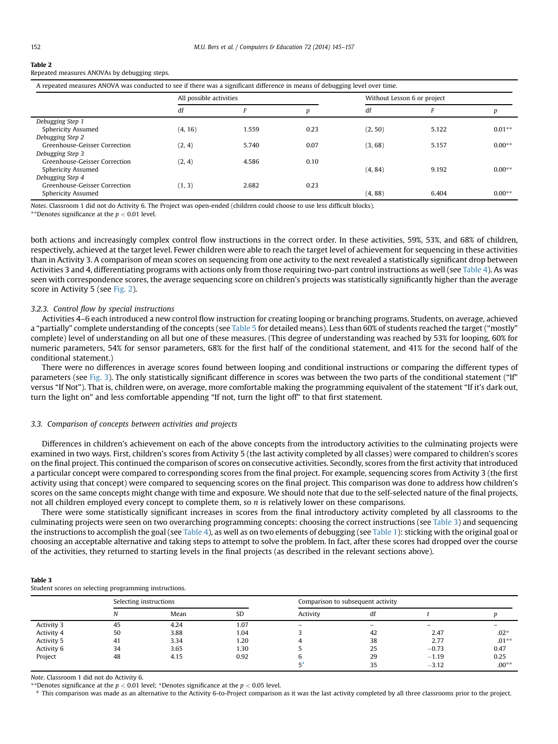#### <span id="page-7-0"></span>Table 2 Repeated measures ANOVAs by debugging steps.

|  | A repeated measures ANOVA was conducted to see if there was a significant difference in means of debugging level over time. |
|--|-----------------------------------------------------------------------------------------------------------------------------|
|  |                                                                                                                             |

|                               | All possible activities |       |      | Without Lesson 6 or project |       |          |  |
|-------------------------------|-------------------------|-------|------|-----------------------------|-------|----------|--|
|                               | df                      |       | р    | df                          |       |          |  |
| Debugging Step 1              |                         |       |      |                             |       |          |  |
| Sphericity Assumed            | (4, 16)                 | 1.559 | 0.23 | (2, 50)                     | 5.122 | $0.01**$ |  |
| Debugging Step 2              |                         |       |      |                             |       |          |  |
| Greenhouse-Geisser Correction | (2, 4)                  | 5.740 | 0.07 | (3, 68)                     | 5.157 | $0.00**$ |  |
| Debugging Step 3              |                         |       |      |                             |       |          |  |
| Greenhouse-Geisser Correction | (2, 4)                  | 4.586 | 0.10 |                             |       |          |  |
| Sphericity Assumed            |                         |       |      | (4, 84)                     | 9.192 | $0.00**$ |  |
| Debugging Step 4              |                         |       |      |                             |       |          |  |
| Greenhouse-Geisser Correction | (1, 3)                  | 2.682 | 0.23 |                             |       |          |  |
| Sphericity Assumed            |                         |       |      | (4, 88)                     | 6.404 | $0.00**$ |  |

Notes. Classroom 1 did not do Activity 6. The Project was open-ended (children could choose to use less difficult blocks).

\*\*Denotes significance at the  $p < 0.01$  level.

both actions and increasingly complex control flow instructions in the correct order. In these activities, 59%, 53%, and 68% of children, respectively, achieved at the target level. Fewer children were able to reach the target level of achievement for sequencing in these activities than in Activity 3. A comparison of mean scores on sequencing from one activity to the next revealed a statistically significant drop between Activities 3 and 4, differentiating programs with actions only from those requiring two-part control instructions as well (see [Table 4\)](#page-8-0). As was seen with correspondence scores, the average sequencing score on children's projects was statistically significantly higher than the average score in Activity 5 (see [Fig. 2\)](#page-8-0).

## 3.2.3. Control flow by special instructions

Activities 4–6 each introduced a new control flow instruction for creating looping or branching programs. Students, on average, achieved a "partially" complete understanding of the concepts (see [Table 5](#page-9-0) for detailed means). Less than 60% of students reached the target ("mostly" complete) level of understanding on all but one of these measures. (This degree of understanding was reached by 53% for looping, 60% for numeric parameters, 54% for sensor parameters, 68% for the first half of the conditional statement, and 41% for the second half of the conditional statement.)

There were no differences in average scores found between looping and conditional instructions or comparing the different types of parameters (see [Fig. 3\)](#page-9-0). The only statistically significant difference in scores was between the two parts of the conditional statement ("If" versus "If Not"). That is, children were, on average, more comfortable making the programming equivalent of the statement "If it's dark out, turn the light on" and less comfortable appending "If not, turn the light off" to that first statement.

#### 3.3. Comparison of concepts between activities and projects

Differences in children's achievement on each of the above concepts from the introductory activities to the culminating projects were examined in two ways. First, children's scores from Activity 5 (the last activity completed by all classes) were compared to children's scores on the final project. This continued the comparison of scores on consecutive activities. Secondly, scores from the first activity that introduced a particular concept were compared to corresponding scores from the final project. For example, sequencing scores from Activity 3 (the first activity using that concept) were compared to sequencing scores on the final project. This comparison was done to address how children's scores on the same concepts might change with time and exposure. We should note that due to the self-selected nature of the final projects, not all children employed every concept to complete them, so *n* is relatively lower on these comparisons.

There were some statistically significant increases in scores from the final introductory activity completed by all classrooms to the culminating projects were seen on two overarching programming concepts: choosing the correct instructions (see Table 3) and sequencing the instructions to accomplish the goal (see [Table 4](#page-8-0)), as well as on two elements of debugging (see [Table 1](#page-6-0)): sticking with the original goal or choosing an acceptable alternative and taking steps to attempt to solve the problem. In fact, after these scores had dropped over the course of the activities, they returned to starting levels in the final projects (as described in the relevant sections above).

|            | Selecting instructions |      |      | Comparison to subsequent activity |          |                    |                 |  |
|------------|------------------------|------|------|-----------------------------------|----------|--------------------|-----------------|--|
|            |                        | Mean | SD   | Activity                          | df       |                    |                 |  |
| Activity 3 | 45                     | 4.24 | 1.07 | $\overline{\phantom{0}}$          | -        | -                  |                 |  |
| Activity 4 | 50                     | 3.88 | 1.04 |                                   | 42       | 2.47               | $.02*$          |  |
| Activity 5 | 41                     | 3.34 | 1.20 |                                   | 38       | 2.77               | $.01**$         |  |
| Activity 6 | 34                     | 3.65 | 1.30 |                                   | 25       | $-0.73$            | 0.47            |  |
| Project    | 48                     | 4.15 | 0.92 |                                   | 29<br>35 | $-1.19$<br>$-3.12$ | 0.25<br>$.00**$ |  |

Table 3

Student scores on selecting programming instructions.

Note. Classroom 1 did not do Activity 6.

\*\*Denotes significance at the  $p < 0.01$  level; \*Denotes significance at the  $p < 0.05$  level.

<sup>a</sup> This comparison was made as an alternative to the Activity 6-to-Project comparison as it was the last activity completed by all three classrooms prior to the project.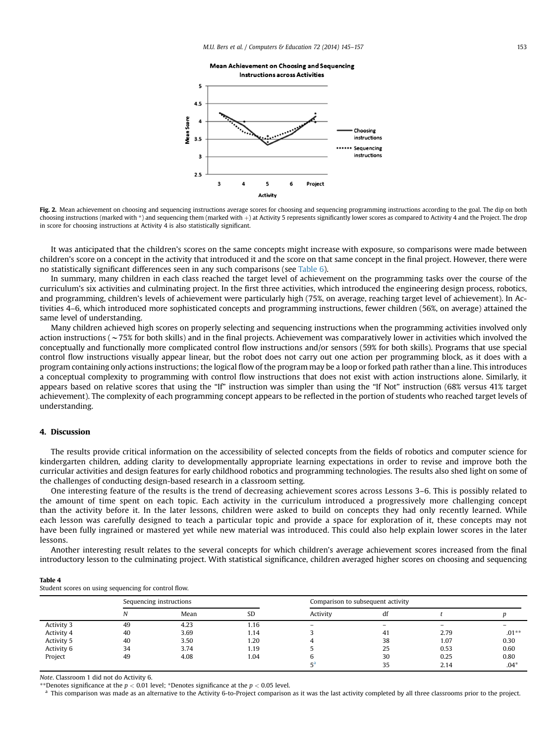Mean Achievement on Choosing and Sequencing **Instructions across Activities** 

<span id="page-8-0"></span>

Fig. 2. Mean achievement on choosing and sequencing instructions average scores for choosing and sequencing programming instructions according to the goal. The dip on both choosing instructions (marked with \*) and sequencing them (marked with +) at Activity 5 represents significantly lower scores as compared to Activity 4 and the Project. The drop in score for choosing instructions at Activity 4 is also statistically significant.

It was anticipated that the children's scores on the same concepts might increase with exposure, so comparisons were made between children's score on a concept in the activity that introduced it and the score on that same concept in the final project. However, there were no statistically significant differences seen in any such comparisons (see [Table 6\)](#page-10-0).

In summary, many children in each class reached the target level of achievement on the programming tasks over the course of the curriculum's six activities and culminating project. In the first three activities, which introduced the engineering design process, robotics, and programming, children's levels of achievement were particularly high (75%, on average, reaching target level of achievement). In Activities 4–6, which introduced more sophisticated concepts and programming instructions, fewer children (56%, on average) attained the same level of understanding.

Many children achieved high scores on properly selecting and sequencing instructions when the programming activities involved only action instructions ( $\sim$ 75% for both skills) and in the final projects. Achievement was comparatively lower in activities which involved the conceptually and functionally more complicated control flow instructions and/or sensors (59% for both skills). Programs that use special control flow instructions visually appear linear, but the robot does not carry out one action per programming block, as it does with a program containing only actions instructions; the logical flow of the program may be a loop or forked path rather than a line. This introduces a conceptual complexity to programming with control flow instructions that does not exist with action instructions alone. Similarly, it appears based on relative scores that using the "If" instruction was simpler than using the "If Not" instruction (68% versus 41% target achievement). The complexity of each programming concept appears to be reflected in the portion of students who reached target levels of understanding.

## 4. Discussion

The results provide critical information on the accessibility of selected concepts from the fields of robotics and computer science for kindergarten children, adding clarity to developmentally appropriate learning expectations in order to revise and improve both the curricular activities and design features for early childhood robotics and programming technologies. The results also shed light on some of the challenges of conducting design-based research in a classroom setting.

One interesting feature of the results is the trend of decreasing achievement scores across Lessons 3–6. This is possibly related to the amount of time spent on each topic. Each activity in the curriculum introduced a progressively more challenging concept than the activity before it. In the later lessons, children were asked to build on concepts they had only recently learned. While each lesson was carefully designed to teach a particular topic and provide a space for exploration of it, these concepts may not have been fully ingrained or mastered yet while new material was introduced. This could also help explain lower scores in the later lessons.

Another interesting result relates to the several concepts for which children's average achievement scores increased from the final introductory lesson to the culminating project. With statistical significance, children averaged higher scores on choosing and sequencing

| student scores on using sequencing for control now. |                         |      |      |                                   |    |      |         |  |
|-----------------------------------------------------|-------------------------|------|------|-----------------------------------|----|------|---------|--|
|                                                     | Sequencing instructions |      |      | Comparison to subsequent activity |    |      |         |  |
|                                                     |                         | Mean | SD   | Activity                          | df |      |         |  |
| Activity 3                                          | 49                      | 4.23 | 1.16 |                                   |    |      |         |  |
| Activity 4                                          | 40                      | 3.69 | 1.14 |                                   | 41 | 2.79 | $.01**$ |  |
| Activity 5                                          | 40                      | 3.50 | 1.20 |                                   | 38 | 1.07 | 0.30    |  |
| Activity 6                                          | 34                      | 3.74 | 1.19 |                                   | 25 | 0.53 | 0.60    |  |
| Project                                             | 49                      | 4.08 | 1.04 |                                   | 30 | 0.25 | 0.80    |  |
|                                                     |                         |      |      |                                   | 35 | 2.14 | $.04*$  |  |

Table 4

Note. Classroom 1 did not do Activity 6. \*\*Denotes significance at the  $p < 0.01$  level; \*Denotes significance at the  $p < 0.05$  level.

Student scores on using sequencing for control flow.

This comparison was made as an alternative to the Activity 6-to-Project comparison as it was the last activity completed by all three classrooms prior to the project.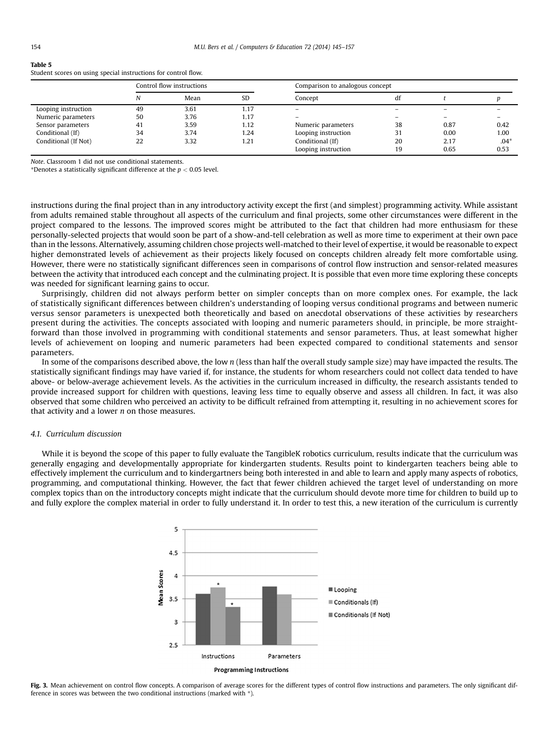## <span id="page-9-0"></span>Table 5

|                      | Control flow instructions |      |      | Comparison to analogous concept |    |      |        |
|----------------------|---------------------------|------|------|---------------------------------|----|------|--------|
|                      | Ν                         | Mean | SD   | Concept                         | df |      |        |
| Looping instruction  | 49                        | 3.61 | 1.17 |                                 |    |      |        |
| Numeric parameters   | 50                        | 3.76 | 1.17 |                                 |    |      |        |
| Sensor parameters    | 41                        | 3.59 | 1.12 | Numeric parameters              | 38 | 0.87 | 0.42   |
| Conditional (If)     | 34                        | 3.74 | 1.24 | Looping instruction             | 31 | 0.00 | 1.00   |
| Conditional (If Not) | 22                        | 3.32 | 1.21 | Conditional (If)                | 20 | 2.17 | $.04*$ |
|                      |                           |      |      | Looping instruction             | 19 | 0.65 | 0.53   |

Note. Classroom 1 did not use conditional statements.

\*Denotes a statistically significant difference at the  $p < 0.05$  level.

instructions during the final project than in any introductory activity except the first (and simplest) programming activity. While assistant from adults remained stable throughout all aspects of the curriculum and final projects, some other circumstances were different in the project compared to the lessons. The improved scores might be attributed to the fact that children had more enthusiasm for these personally-selected projects that would soon be part of a show-and-tell celebration as well as more time to experiment at their own pace than in the lessons. Alternatively, assuming children chose projects well-matched to their level of expertise, it would be reasonable to expect higher demonstrated levels of achievement as their projects likely focused on concepts children already felt more comfortable using. However, there were no statistically significant differences seen in comparisons of control flow instruction and sensor-related measures between the activity that introduced each concept and the culminating project. It is possible that even more time exploring these concepts was needed for significant learning gains to occur.

Surprisingly, children did not always perform better on simpler concepts than on more complex ones. For example, the lack of statistically significant differences between children's understanding of looping versus conditional programs and between numeric versus sensor parameters is unexpected both theoretically and based on anecdotal observations of these activities by researchers present during the activities. The concepts associated with looping and numeric parameters should, in principle, be more straightforward than those involved in programming with conditional statements and sensor parameters. Thus, at least somewhat higher levels of achievement on looping and numeric parameters had been expected compared to conditional statements and sensor parameters.

In some of the comparisons described above, the low  $n$  (less than half the overall study sample size) may have impacted the results. The statistically significant findings may have varied if, for instance, the students for whom researchers could not collect data tended to have above- or below-average achievement levels. As the activities in the curriculum increased in difficulty, the research assistants tended to provide increased support for children with questions, leaving less time to equally observe and assess all children. In fact, it was also observed that some children who perceived an activity to be difficult refrained from attempting it, resulting in no achievement scores for that activity and a lower  $n$  on those measures.

#### 4.1. Curriculum discussion

While it is beyond the scope of this paper to fully evaluate the TangibleK robotics curriculum, results indicate that the curriculum was generally engaging and developmentally appropriate for kindergarten students. Results point to kindergarten teachers being able to effectively implement the curriculum and to kindergartners being both interested in and able to learn and apply many aspects of robotics, programming, and computational thinking. However, the fact that fewer children achieved the target level of understanding on more complex topics than on the introductory concepts might indicate that the curriculum should devote more time for children to build up to and fully explore the complex material in order to fully understand it. In order to test this, a new iteration of the curriculum is currently



Fig. 3. Mean achievement on control flow concepts. A comparison of average scores for the different types of control flow instructions and parameters. The only significant difference in scores was between the two conditional instructions (marked with \*).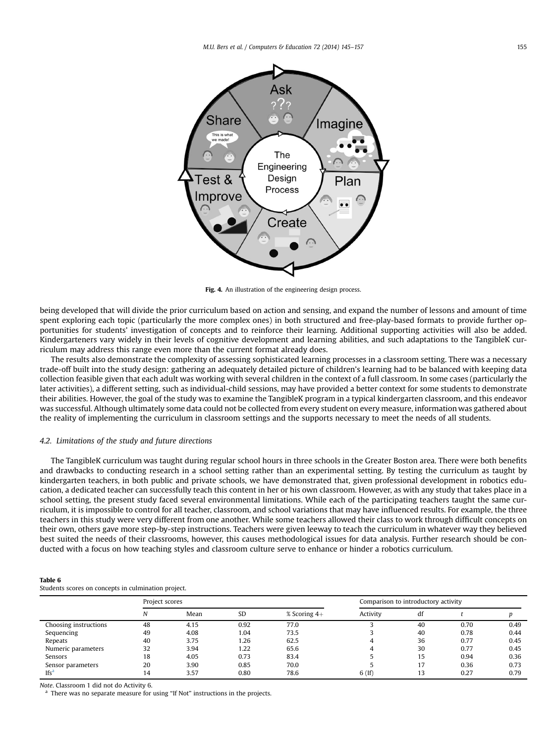<span id="page-10-0"></span>

Fig. 4. An illustration of the engineering design process.

being developed that will divide the prior curriculum based on action and sensing, and expand the number of lessons and amount of time spent exploring each topic (particularly the more complex ones) in both structured and free-play-based formats to provide further opportunities for students' investigation of concepts and to reinforce their learning. Additional supporting activities will also be added. Kindergarteners vary widely in their levels of cognitive development and learning abilities, and such adaptations to the TangibleK curriculum may address this range even more than the current format already does.

The results also demonstrate the complexity of assessing sophisticated learning processes in a classroom setting. There was a necessary trade-off built into the study design: gathering an adequately detailed picture of children's learning had to be balanced with keeping data collection feasible given that each adult was working with several children in the context of a full classroom. In some cases (particularly the later activities), a different setting, such as individual-child sessions, may have provided a better context for some students to demonstrate their abilities. However, the goal of the study was to examine the TangibleK program in a typical kindergarten classroom, and this endeavor was successful. Although ultimately some data could not be collected from every student on every measure, information was gathered about the reality of implementing the curriculum in classroom settings and the supports necessary to meet the needs of all students.

#### 4.2. Limitations of the study and future directions

The TangibleK curriculum was taught during regular school hours in three schools in the Greater Boston area. There were both benefits and drawbacks to conducting research in a school setting rather than an experimental setting. By testing the curriculum as taught by kindergarten teachers, in both public and private schools, we have demonstrated that, given professional development in robotics education, a dedicated teacher can successfully teach this content in her or his own classroom. However, as with any study that takes place in a school setting, the present study faced several environmental limitations. While each of the participating teachers taught the same curriculum, it is impossible to control for all teacher, classroom, and school variations that may have influenced results. For example, the three teachers in this study were very different from one another. While some teachers allowed their class to work through difficult concepts on their own, others gave more step-by-step instructions. Teachers were given leeway to teach the curriculum in whatever way they believed best suited the needs of their classrooms, however, this causes methodological issues for data analysis. Further research should be conducted with a focus on how teaching styles and classroom culture serve to enhance or hinder a robotics curriculum.

## Table 6

Students scores on concepts in culmination project.

|                       | Project scores |      |           |                | Comparison to introductory activity |    |      |      |
|-----------------------|----------------|------|-----------|----------------|-------------------------------------|----|------|------|
|                       | N              | Mean | <b>SD</b> | $%$ Scoring 4+ | Activity                            | df |      |      |
| Choosing instructions | 48             | 4.15 | 0.92      | 77.0           |                                     | 40 | 0.70 | 0.49 |
| Sequencing            | 49             | 4.08 | 1.04      | 73.5           |                                     | 40 | 0.78 | 0.44 |
| Repeats               | 40             | 3.75 | 1.26      | 62.5           |                                     | 36 | 0.77 | 0.45 |
| Numeric parameters    | 32             | 3.94 | 1.22      | 65.6           |                                     | 30 | 0.77 | 0.45 |
| Sensors               | 18             | 4.05 | 0.73      | 83.4           |                                     | 15 | 0.94 | 0.36 |
| Sensor parameters     | 20             | 3.90 | 0.85      | 70.0           |                                     |    | 0.36 | 0.73 |
| If s <sup>a</sup>     | 14             | 3.57 | 0.80      | 78.6           | $6($ If)                            | 13 | 0.27 | 0.79 |

Note. Classroom 1 did not do Activity 6.

There was no separate measure for using "If Not" instructions in the projects.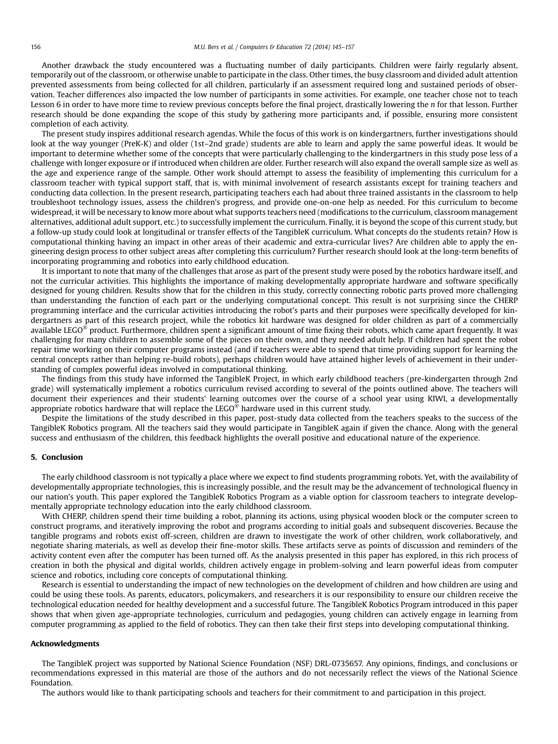Another drawback the study encountered was a fluctuating number of daily participants. Children were fairly regularly absent, temporarily out of the classroom, or otherwise unable to participate in the class. Other times, the busy classroom and divided adult attention prevented assessments from being collected for all children, particularly if an assessment required long and sustained periods of observation. Teacher differences also impacted the low number of participants in some activities. For example, one teacher chose not to teach Lesson 6 in order to have more time to review previous concepts before the final project, drastically lowering the n for that lesson. Further research should be done expanding the scope of this study by gathering more participants and, if possible, ensuring more consistent completion of each activity.

The present study inspires additional research agendas. While the focus of this work is on kindergartners, further investigations should look at the way younger (PreK-K) and older (1st–2nd grade) students are able to learn and apply the same powerful ideas. It would be important to determine whether some of the concepts that were particularly challenging to the kindergartners in this study pose less of a challenge with longer exposure or if introduced when children are older. Further research will also expand the overall sample size as well as the age and experience range of the sample. Other work should attempt to assess the feasibility of implementing this curriculum for a classroom teacher with typical support staff, that is, with minimal involvement of research assistants except for training teachers and conducting data collection. In the present research, participating teachers each had about three trained assistants in the classroom to help troubleshoot technology issues, assess the children's progress, and provide one-on-one help as needed. For this curriculum to become widespread, it will be necessary to know more about what supports teachers need (modifications to the curriculum, classroom management alternatives, additional adult support, etc.) to successfully implement the curriculum. Finally, it is beyond the scope of this current study, but a follow-up study could look at longitudinal or transfer effects of the TangibleK curriculum. What concepts do the students retain? How is computational thinking having an impact in other areas of their academic and extra-curricular lives? Are children able to apply the engineering design process to other subject areas after completing this curriculum? Further research should look at the long-term benefits of incorporating programming and robotics into early childhood education.

It is important to note that many of the challenges that arose as part of the present study were posed by the robotics hardware itself, and not the curricular activities. This highlights the importance of making developmentally appropriate hardware and software specifically designed for young children. Results show that for the children in this study, correctly connecting robotic parts proved more challenging than understanding the function of each part or the underlying computational concept. This result is not surprising since the CHERP programming interface and the curricular activities introducing the robot's parts and their purposes were specifically developed for kindergartners as part of this research project, while the robotics kit hardware was designed for older children as part of a commercially available LEGO<sup>®</sup> product. Furthermore, children spent a significant amount of time fixing their robots, which came apart frequently. It was challenging for many children to assemble some of the pieces on their own, and they needed adult help. If children had spent the robot repair time working on their computer programs instead (and if teachers were able to spend that time providing support for learning the central concepts rather than helping re-build robots), perhaps children would have attained higher levels of achievement in their understanding of complex powerful ideas involved in computational thinking.

The findings from this study have informed the TangibleK Project, in which early childhood teachers (pre-kindergarten through 2nd grade) will systematically implement a robotics curriculum revised according to several of the points outlined above. The teachers will document their experiences and their students' learning outcomes over the course of a school year using KIWI, a developmentally appropriate robotics hardware that will replace the LEGO $\degree$  hardware used in this current study.

Despite the limitations of the study described in this paper, post-study data collected from the teachers speaks to the success of the TangibleK Robotics program. All the teachers said they would participate in TangibleK again if given the chance. Along with the general success and enthusiasm of the children, this feedback highlights the overall positive and educational nature of the experience.

## 5. Conclusion

The early childhood classroom is not typically a place where we expect to find students programming robots. Yet, with the availability of developmentally appropriate technologies, this is increasingly possible, and the result may be the advancement of technological fluency in our nation's youth. This paper explored the TangibleK Robotics Program as a viable option for classroom teachers to integrate developmentally appropriate technology education into the early childhood classroom.

With CHERP, children spend their time building a robot, planning its actions, using physical wooden block or the computer screen to construct programs, and iteratively improving the robot and programs according to initial goals and subsequent discoveries. Because the tangible programs and robots exist off-screen, children are drawn to investigate the work of other children, work collaboratively, and negotiate sharing materials, as well as develop their fine-motor skills. These artifacts serve as points of discussion and reminders of the activity content even after the computer has been turned off. As the analysis presented in this paper has explored, in this rich process of creation in both the physical and digital worlds, children actively engage in problem-solving and learn powerful ideas from computer science and robotics, including core concepts of computational thinking.

Research is essential to understanding the impact of new technologies on the development of children and how children are using and could be using these tools. As parents, educators, policymakers, and researchers it is our responsibility to ensure our children receive the technological education needed for healthy development and a successful future. The TangibleK Robotics Program introduced in this paper shows that when given age-appropriate technologies, curriculum and pedagogies, young children can actively engage in learning from computer programming as applied to the field of robotics. They can then take their first steps into developing computational thinking.

#### Acknowledgments

The TangibleK project was supported by National Science Foundation (NSF) DRL-0735657. Any opinions, findings, and conclusions or recommendations expressed in this material are those of the authors and do not necessarily reflect the views of the National Science Foundation.

The authors would like to thank participating schools and teachers for their commitment to and participation in this project.